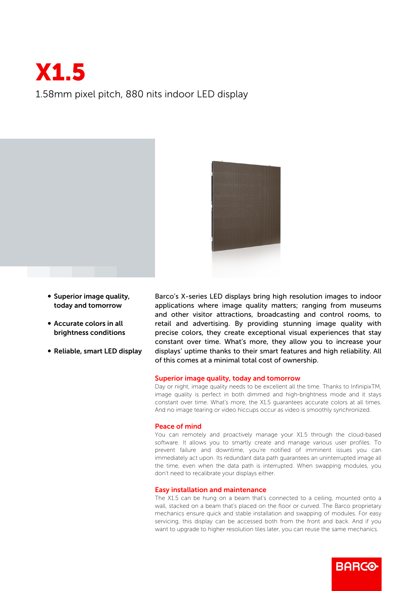# X1.5 1.58mm pixel pitch, 880 nits indoor LED display



- Superior image quality, today and tomorrow
- Accurate colors in all brightness conditions
- Reliable, smart LED display

Barco's X-series LED displays bring high resolution images to indoor applications where image quality matters; ranging from museums and other visitor attractions, broadcasting and control rooms, to retail and advertising. By providing stunning image quality with precise colors, they create exceptional visual experiences that stay constant over time. What's more, they allow you to increase your displays' uptime thanks to their smart features and high reliability. All of this comes at a minimal total cost of ownership.

### Superior image quality, today and tomorrow

Day or night, image quality needs to be excellent all the time. Thanks to InfinipixTM, image quality is perfect in both dimmed and high-brightness mode and it stays constant over time. What's more, the X1.5 guarantees accurate colors at all times. And no image tearing or video hiccups occur as video is smoothly synchronized.

#### Peace of mind

You can remotely and proactively manage your X1.5 through the cloud-based software. It allows you to smartly create and manage various user profiles. To prevent failure and downtime, you're notified of imminent issues you can immediately act upon. Its redundant data path guarantees an uninterrupted image all the time, even when the data path is interrupted. When swapping modules, you don't need to recalibrate your displays either.

#### Easy installation and maintenance

The X1.5 can be hung on a beam that's connected to a ceiling, mounted onto a wall, stacked on a beam that's placed on the floor or curved. The Barco proprietary mechanics ensure quick and stable installation and swapping of modules. For easy servicing, this display can be accessed both from the front and back. And if you want to upgrade to higher resolution tiles later, you can reuse the same mechanics.